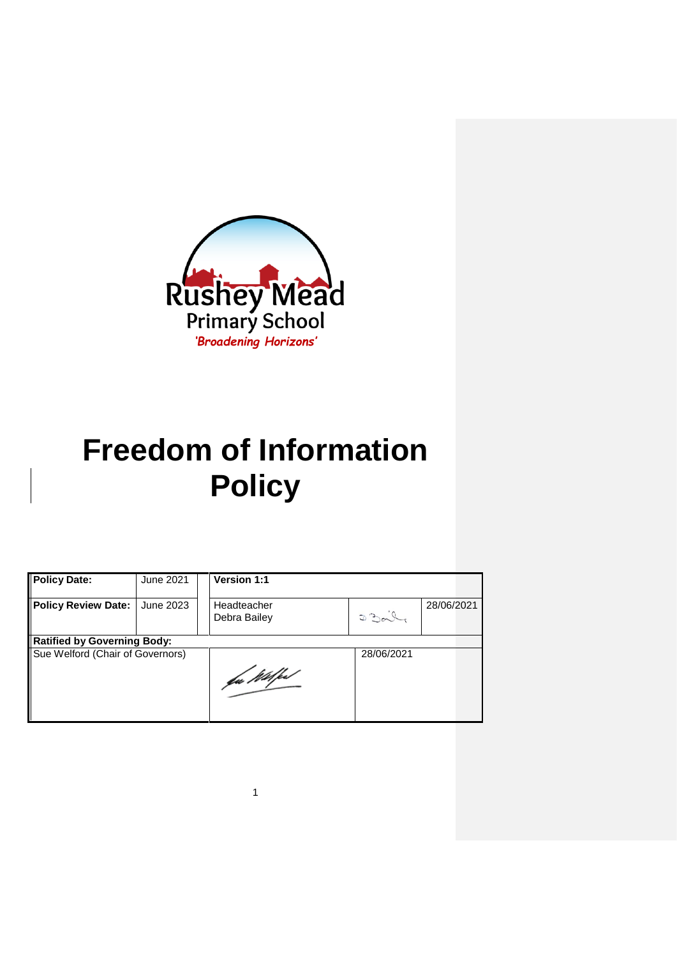

# **Freedom of Information Policy**

| <b>Policy Date:</b>                | June 2021 | <b>Version 1:1</b>          |            |            |
|------------------------------------|-----------|-----------------------------|------------|------------|
| Policy Review Date:                | June 2023 | Headteacher<br>Debra Bailey | D.301      | 28/06/2021 |
| <b>Ratified by Governing Body:</b> |           |                             |            |            |
| Sue Welford (Chair of Governors)   |           |                             | 28/06/2021 |            |
|                                    |           | fa Wilfed                   |            |            |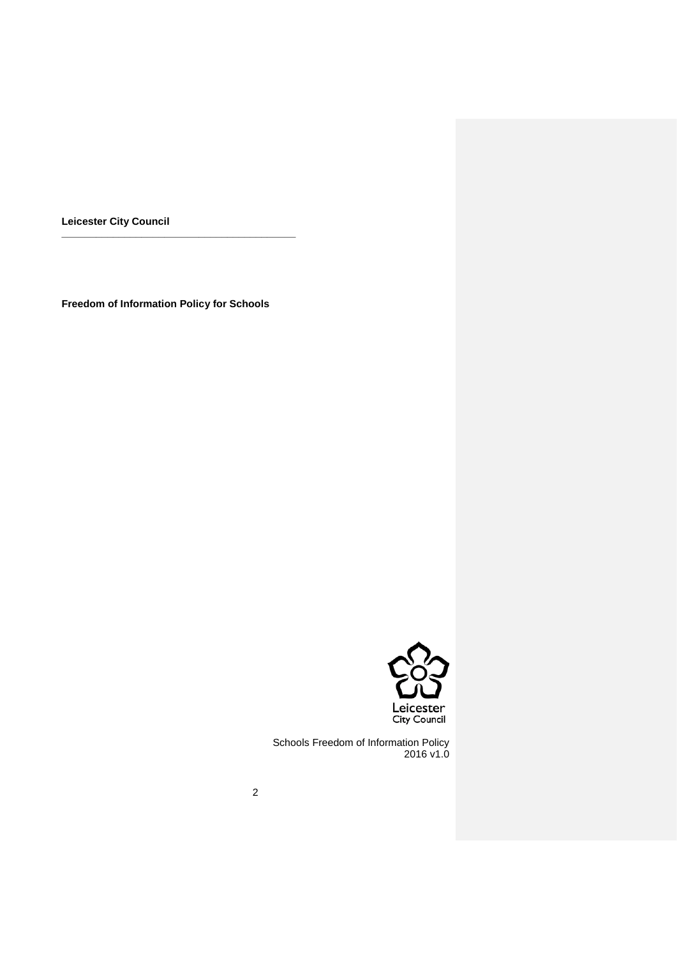**Leicester City Council**

**Freedom of Information Policy for Schools**

**\_\_\_\_\_\_\_\_\_\_\_\_\_\_\_\_\_\_\_\_\_\_\_\_\_\_\_\_\_\_\_\_\_\_\_\_\_\_\_\_\_**



Schools Freedom of Information Policy 2016 v1.0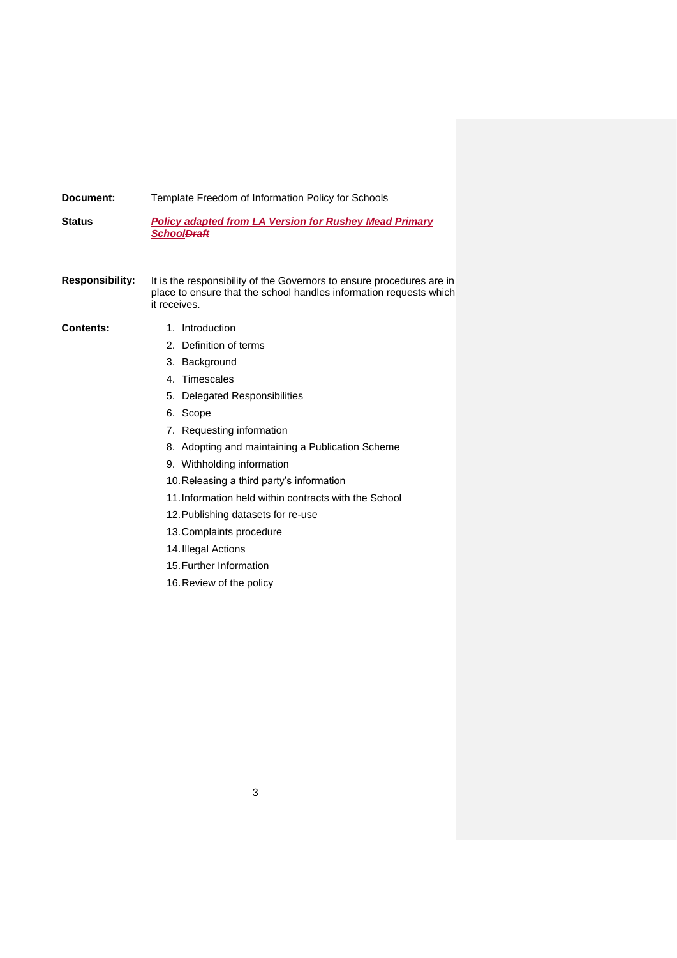#### **Document:** Template Freedom of Information Policy for Schools

**Status** *Policy adapted from LA Version for Rushey Mead Primary SchoolDraft*

- **Responsibility:** It is the responsibility of the Governors to ensure procedures are in place to ensure that the school handles information requests which it receives.
- 
- **Contents:** 1. Introduction
	- 2. Definition of terms
	- 3. Background
	- 4. Timescales
	- 5. Delegated Responsibilities
	- 6. Scope
	- 7. Requesting information
	- 8. Adopting and maintaining a Publication Scheme
	- 9. Withholding information
	- 10.Releasing a third party's information
	- 11.Information held within contracts with the School
	- 12.Publishing datasets for re-use
	- 13.Complaints procedure
	- 14.Illegal Actions
	- 15.Further Information
	- 16.Review of the policy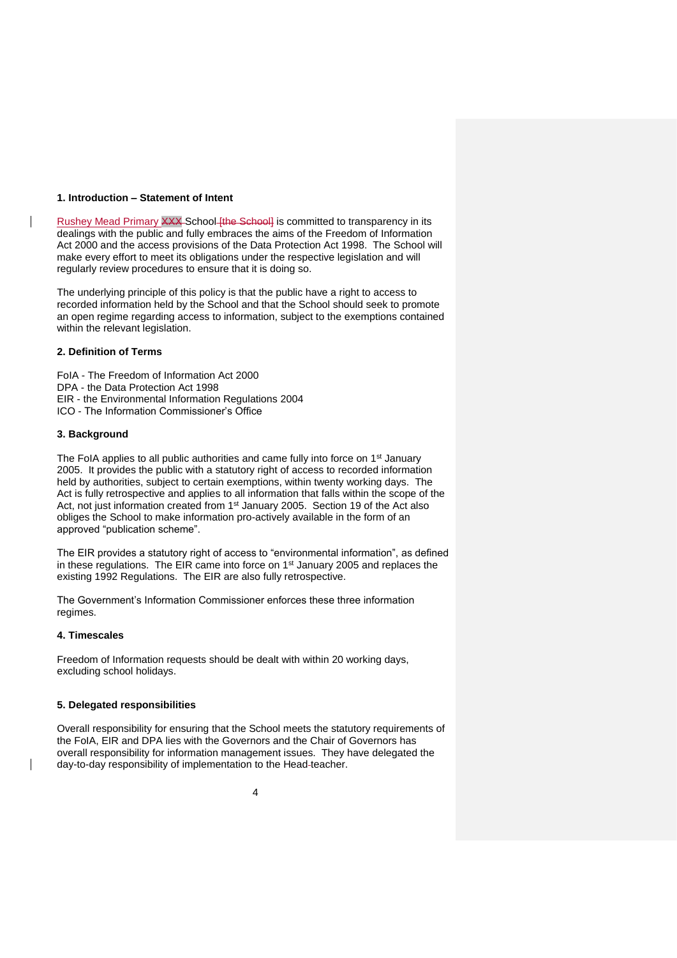#### **1. Introduction – Statement of Intent**

Rushey Mead Primary XXX-School-[the School] is committed to transparency in its dealings with the public and fully embraces the aims of the Freedom of Information Act 2000 and the access provisions of the Data Protection Act 1998. The School will make every effort to meet its obligations under the respective legislation and will regularly review procedures to ensure that it is doing so.

The underlying principle of this policy is that the public have a right to access to recorded information held by the School and that the School should seek to promote an open regime regarding access to information, subject to the exemptions contained within the relevant legislation.

#### **2. Definition of Terms**

 $\overline{\phantom{a}}$ 

FoIA - The Freedom of Information Act 2000 DPA - the Data Protection Act 1998 EIR - the Environmental Information Regulations 2004 ICO - The Information Commissioner's Office

#### **3. Background**

The FoIA applies to all public authorities and came fully into force on 1<sup>st</sup> January 2005. It provides the public with a statutory right of access to recorded information held by authorities, subject to certain exemptions, within twenty working days. The Act is fully retrospective and applies to all information that falls within the scope of the Act, not just information created from 1<sup>st</sup> January 2005. Section 19 of the Act also obliges the School to make information pro-actively available in the form of an approved "publication scheme".

The EIR provides a statutory right of access to "environmental information", as defined in these regulations. The EIR came into force on 1st January 2005 and replaces the existing 1992 Regulations. The EIR are also fully retrospective.

The Government's Information Commissioner enforces these three information regimes.

#### **4. Timescales**

Freedom of Information requests should be dealt with within 20 working days, excluding school holidays.

#### **5. Delegated responsibilities**

Overall responsibility for ensuring that the School meets the statutory requirements of the FoIA, EIR and DPA lies with the Governors and the Chair of Governors has overall responsibility for information management issues. They have delegated the day-to-day responsibility of implementation to the Head teacher.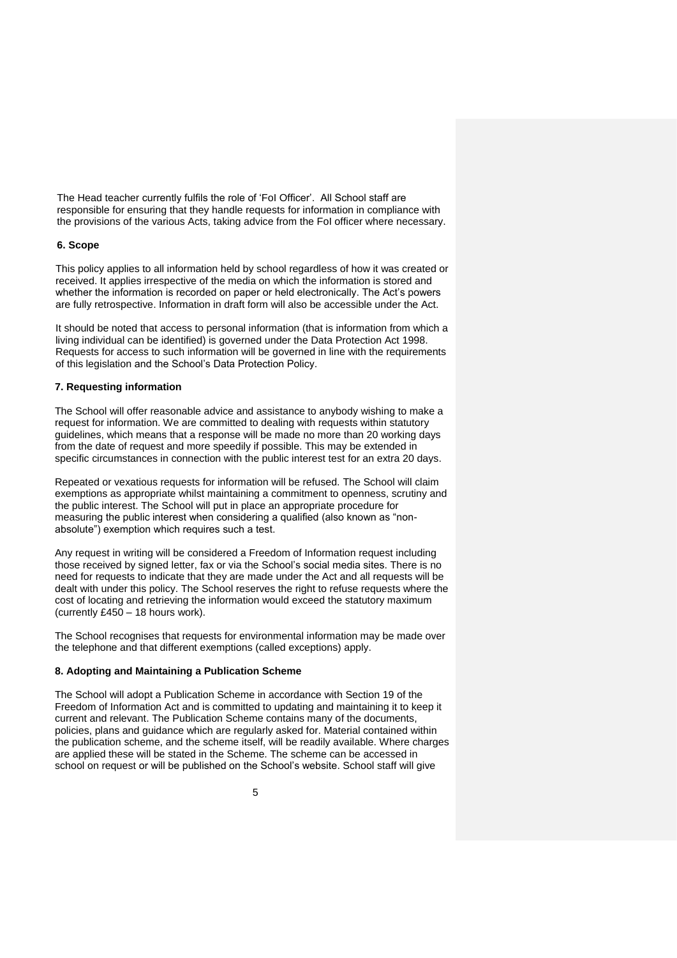The Head teacher currently fulfils the role of 'FoI Officer'. All School staff are responsible for ensuring that they handle requests for information in compliance with the provisions of the various Acts, taking advice from the FoI officer where necessary.

#### **6. Scope**

This policy applies to all information held by school regardless of how it was created or received. It applies irrespective of the media on which the information is stored and whether the information is recorded on paper or held electronically. The Act's powers are fully retrospective. Information in draft form will also be accessible under the Act.

It should be noted that access to personal information (that is information from which a living individual can be identified) is governed under the Data Protection Act 1998. Requests for access to such information will be governed in line with the requirements of this legislation and the School's Data Protection Policy.

#### **7. Requesting information**

The School will offer reasonable advice and assistance to anybody wishing to make a request for information. We are committed to dealing with requests within statutory guidelines, which means that a response will be made no more than 20 working days from the date of request and more speedily if possible. This may be extended in specific circumstances in connection with the public interest test for an extra 20 days.

Repeated or vexatious requests for information will be refused. The School will claim exemptions as appropriate whilst maintaining a commitment to openness, scrutiny and the public interest. The School will put in place an appropriate procedure for measuring the public interest when considering a qualified (also known as "nonabsolute") exemption which requires such a test.

Any request in writing will be considered a Freedom of Information request including those received by signed letter, fax or via the School's social media sites. There is no need for requests to indicate that they are made under the Act and all requests will be dealt with under this policy. The School reserves the right to refuse requests where the cost of locating and retrieving the information would exceed the statutory maximum (currently £450 – 18 hours work).

The School recognises that requests for environmental information may be made over the telephone and that different exemptions (called exceptions) apply.

## **8. Adopting and Maintaining a Publication Scheme**

The School will adopt a Publication Scheme in accordance with Section 19 of the Freedom of Information Act and is committed to updating and maintaining it to keep it current and relevant. The Publication Scheme contains many of the documents, policies, plans and guidance which are regularly asked for. Material contained within the publication scheme, and the scheme itself, will be readily available. Where charges are applied these will be stated in the Scheme. The scheme can be accessed in school on request or will be published on the School's website. School staff will give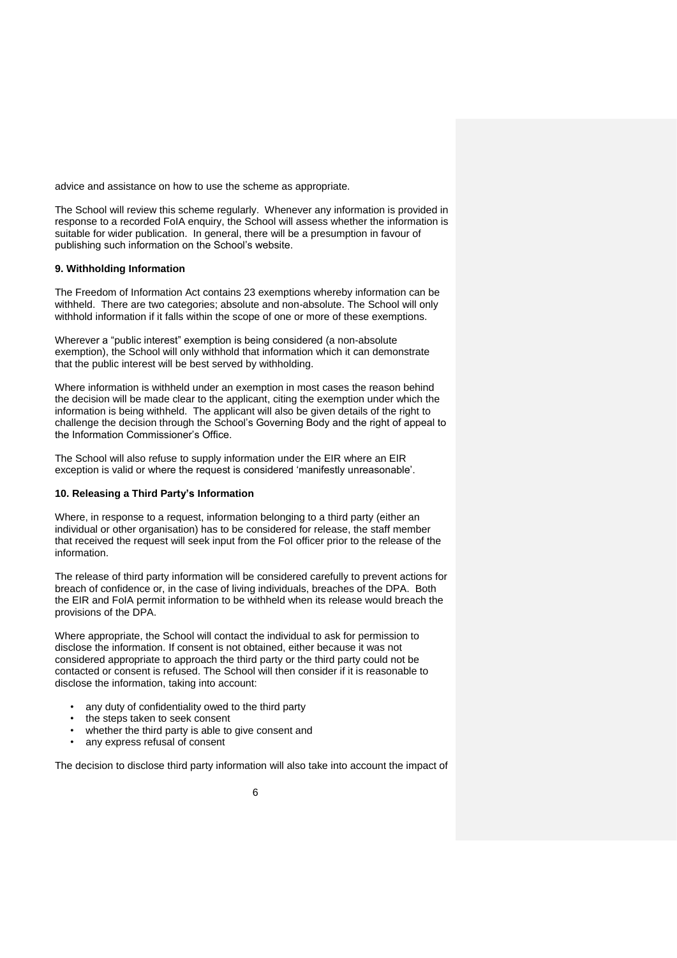advice and assistance on how to use the scheme as appropriate.

The School will review this scheme regularly. Whenever any information is provided in response to a recorded FoIA enquiry, the School will assess whether the information is suitable for wider publication. In general, there will be a presumption in favour of publishing such information on the School's website.

## **9. Withholding Information**

The Freedom of Information Act contains 23 exemptions whereby information can be withheld. There are two categories; absolute and non-absolute. The School will only withhold information if it falls within the scope of one or more of these exemptions.

Wherever a "public interest" exemption is being considered (a non-absolute exemption), the School will only withhold that information which it can demonstrate that the public interest will be best served by withholding.

Where information is withheld under an exemption in most cases the reason behind the decision will be made clear to the applicant, citing the exemption under which the information is being withheld. The applicant will also be given details of the right to challenge the decision through the School's Governing Body and the right of appeal to the Information Commissioner's Office.

The School will also refuse to supply information under the EIR where an EIR exception is valid or where the request is considered 'manifestly unreasonable'.

#### **10. Releasing a Third Party's Information**

Where, in response to a request, information belonging to a third party (either an individual or other organisation) has to be considered for release, the staff member that received the request will seek input from the FoI officer prior to the release of the information.

The release of third party information will be considered carefully to prevent actions for breach of confidence or, in the case of living individuals, breaches of the DPA. Both the EIR and FoIA permit information to be withheld when its release would breach the provisions of the DPA.

Where appropriate, the School will contact the individual to ask for permission to disclose the information. If consent is not obtained, either because it was not considered appropriate to approach the third party or the third party could not be contacted or consent is refused. The School will then consider if it is reasonable to disclose the information, taking into account:

- any duty of confidentiality owed to the third party
- the steps taken to seek consent
- whether the third party is able to give consent and<br>• any express refusel of consent
- any express refusal of consent

The decision to disclose third party information will also take into account the impact of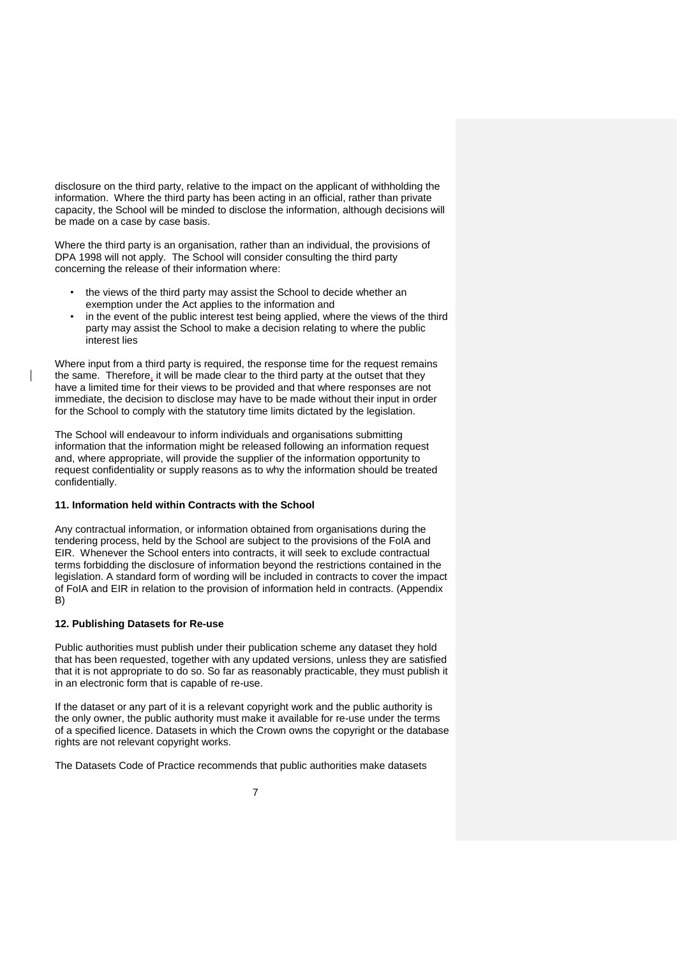disclosure on the third party, relative to the impact on the applicant of withholding the information. Where the third party has been acting in an official, rather than private capacity, the School will be minded to disclose the information, although decisions will be made on a case by case basis.

Where the third party is an organisation, rather than an individual, the provisions of DPA 1998 will not apply. The School will consider consulting the third party concerning the release of their information where:

- the views of the third party may assist the School to decide whether an exemption under the Act applies to the information and
- in the event of the public interest test being applied, where the views of the third party may assist the School to make a decision relating to where the public interest lies

Where input from a third party is required, the response time for the request remains the same. Therefore, it will be made clear to the third party at the outset that they have a limited time for their views to be provided and that where responses are not immediate, the decision to disclose may have to be made without their input in order for the School to comply with the statutory time limits dictated by the legislation.

The School will endeavour to inform individuals and organisations submitting information that the information might be released following an information request and, where appropriate, will provide the supplier of the information opportunity to request confidentiality or supply reasons as to why the information should be treated confidentially.

## **11. Information held within Contracts with the School**

Any contractual information, or information obtained from organisations during the tendering process, held by the School are subject to the provisions of the FoIA and EIR. Whenever the School enters into contracts, it will seek to exclude contractual terms forbidding the disclosure of information beyond the restrictions contained in the legislation. A standard form of wording will be included in contracts to cover the impact of FoIA and EIR in relation to the provision of information held in contracts. (Appendix B)

#### **12. Publishing Datasets for Re-use**

Public authorities must publish under their publication scheme any dataset they hold that has been requested, together with any updated versions, unless they are satisfied that it is not appropriate to do so. So far as reasonably practicable, they must publish it in an electronic form that is capable of re-use.

If the dataset or any part of it is a relevant copyright work and the public authority is the only owner, the public authority must make it available for re-use under the terms of a specified licence. Datasets in which the Crown owns the copyright or the database rights are not relevant copyright works.

The Datasets Code of Practice recommends that public authorities make datasets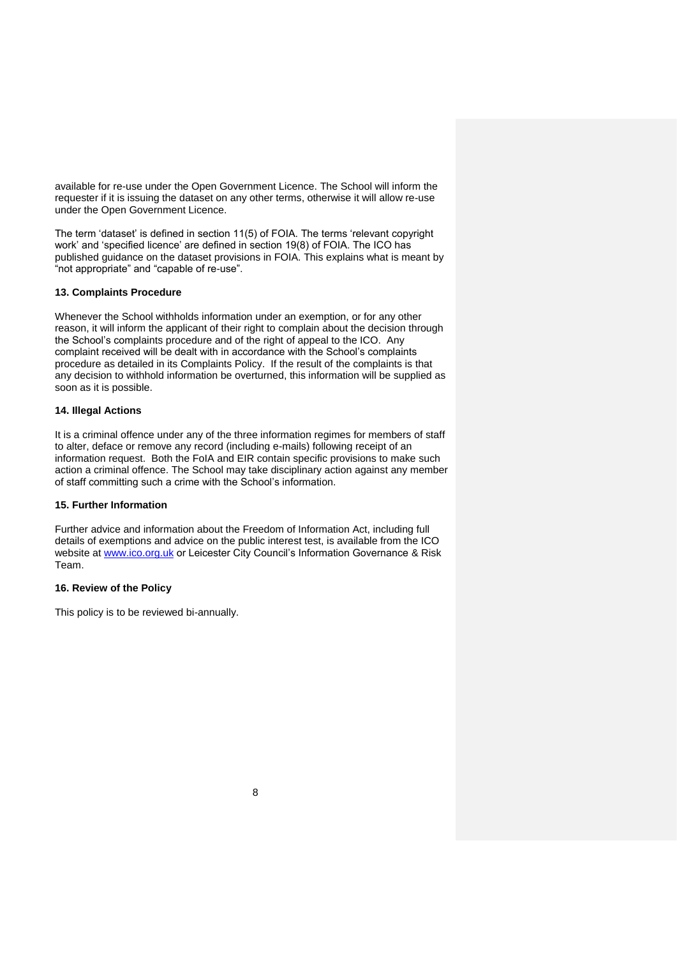available for re-use under the Open Government Licence. The School will inform the requester if it is issuing the dataset on any other terms, otherwise it will allow re-use under the Open Government Licence.

The term 'dataset' is defined in section 11(5) of FOIA. The terms 'relevant copyright work' and 'specified licence' are defined in section 19(8) of FOIA. The ICO has published guidance on the dataset provisions in FOIA. This explains what is meant by "not appropriate" and "capable of re-use".

# **13. Complaints Procedure**

Whenever the School withholds information under an exemption, or for any other reason, it will inform the applicant of their right to complain about the decision through the School's complaints procedure and of the right of appeal to the ICO. Any complaint received will be dealt with in accordance with the School's complaints procedure as detailed in its Complaints Policy. If the result of the complaints is that any decision to withhold information be overturned, this information will be supplied as soon as it is possible.

#### **14. Illegal Actions**

It is a criminal offence under any of the three information regimes for members of staff to alter, deface or remove any record (including e-mails) following receipt of an information request. Both the FoIA and EIR contain specific provisions to make such action a criminal offence. The School may take disciplinary action against any member of staff committing such a crime with the School's information.

## **15. Further Information**

Further advice and information about the Freedom of Information Act, including full details of exemptions and advice on the public interest test, is available from the ICO website at [www.ico.org.uk](http://www.ico.org.uk/) or Leicester City Council's Information Governance & Risk Team.

#### **16. Review of the Policy**

This policy is to be reviewed bi-annually.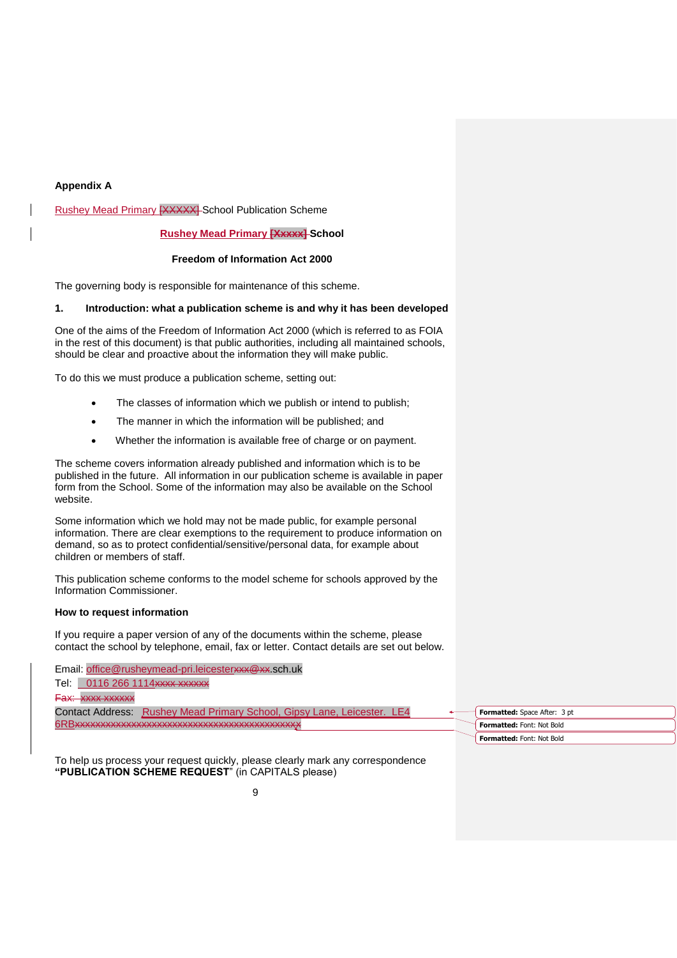# **Appendix A**

Rushey Mead Primary [XXXXX] School Publication Scheme

# **Rushey Mead Primary [Xxxxx] School**

## **Freedom of Information Act 2000**

The governing body is responsible for maintenance of this scheme.

## **1. Introduction: what a publication scheme is and why it has been developed**

One of the aims of the Freedom of Information Act 2000 (which is referred to as FOIA in the rest of this document) is that public authorities, including all maintained schools, should be clear and proactive about the information they will make public.

To do this we must produce a publication scheme, setting out:

- The classes of information which we publish or intend to publish;
- The manner in which the information will be published; and
- Whether the information is available free of charge or on payment.

The scheme covers information already published and information which is to be published in the future. All information in our publication scheme is available in paper form from the School. Some of the information may also be available on the School website.

Some information which we hold may not be made public, for example personal information. There are clear exemptions to the requirement to produce information on demand, so as to protect confidential/sensitive/personal data, for example about children or members of staff.

This publication scheme conforms to the model scheme for schools approved by the Information Commissioner.

## **How to request information**

If you require a paper version of any of the documents within the scheme, please contact the school by telephone, email, fax or letter. Contact details are set out below.

| Email: office@rusheymead-pri.leicesterxxx@xx.sch.uk                     |                                     |
|-------------------------------------------------------------------------|-------------------------------------|
| Tel: I<br>0116 266 1114 <del>xxxx xxxxxx</del>                          |                                     |
| Fov: vvvv vvvvvv<br><b>EARL</b> AAVAA AAVAAVA                           |                                     |
| Contact Address: Rushey Mead Primary School, Gipsy Lane, Leicester. LE4 | <b>Formatted:</b> Space After: 3 pt |
|                                                                         | <b>Formatted: Font: Not Bold</b>    |
|                                                                         | Formatted: Font: Not Bold           |

To help us process your request quickly, please clearly mark any correspondence **"PUBLICATION SCHEME REQUEST**" (in CAPITALS please)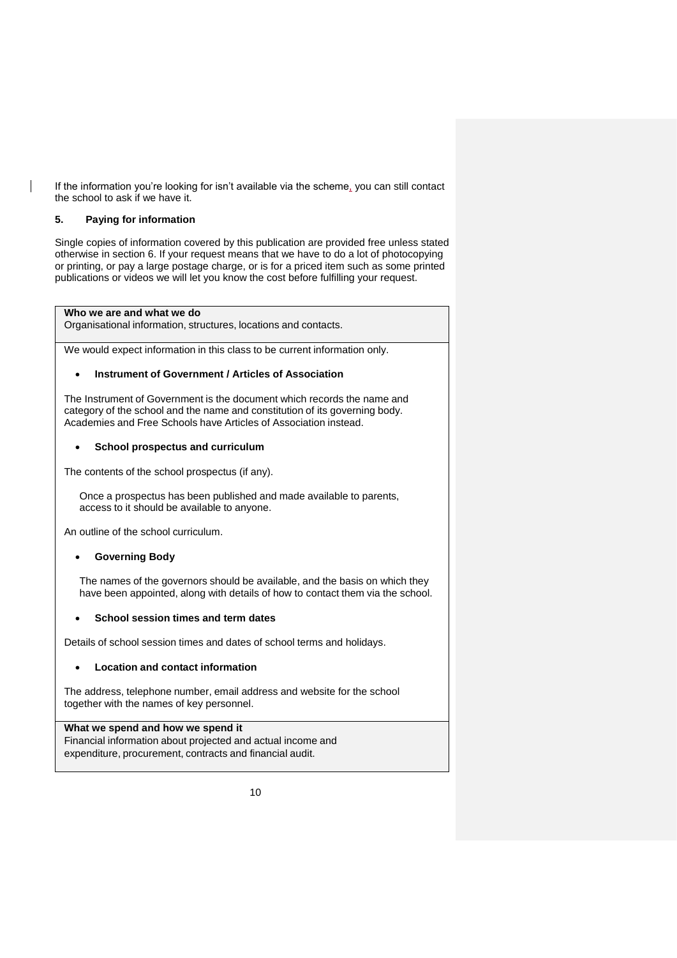If the information you're looking for isn't available via the scheme, you can still contact the school to ask if we have it.

# **5. Paying for information**

Single copies of information covered by this publication are provided free unless stated otherwise in section 6. If your request means that we have to do a lot of photocopying or printing, or pay a large postage charge, or is for a priced item such as some printed publications or videos we will let you know the cost before fulfilling your request.

# **Who we are and what we do**

Organisational information, structures, locations and contacts.

We would expect information in this class to be current information only.

# **Instrument of Government / Articles of Association**

The Instrument of Government is the document which records the name and category of the school and the name and constitution of its governing body. Academies and Free Schools have Articles of Association instead.

# **School prospectus and curriculum**

The contents of the school prospectus (if any).

Once a prospectus has been published and made available to parents, access to it should be available to anyone.

An outline of the school curriculum.

# **Governing Body**

The names of the governors should be available, and the basis on which they have been appointed, along with details of how to contact them via the school.

## **School session times and term dates**

Details of school session times and dates of school terms and holidays.

# **Location and contact information**

The address, telephone number, email address and website for the school together with the names of key personnel.

# **What we spend and how we spend it**

Financial information about projected and actual income and expenditure, procurement, contracts and financial audit.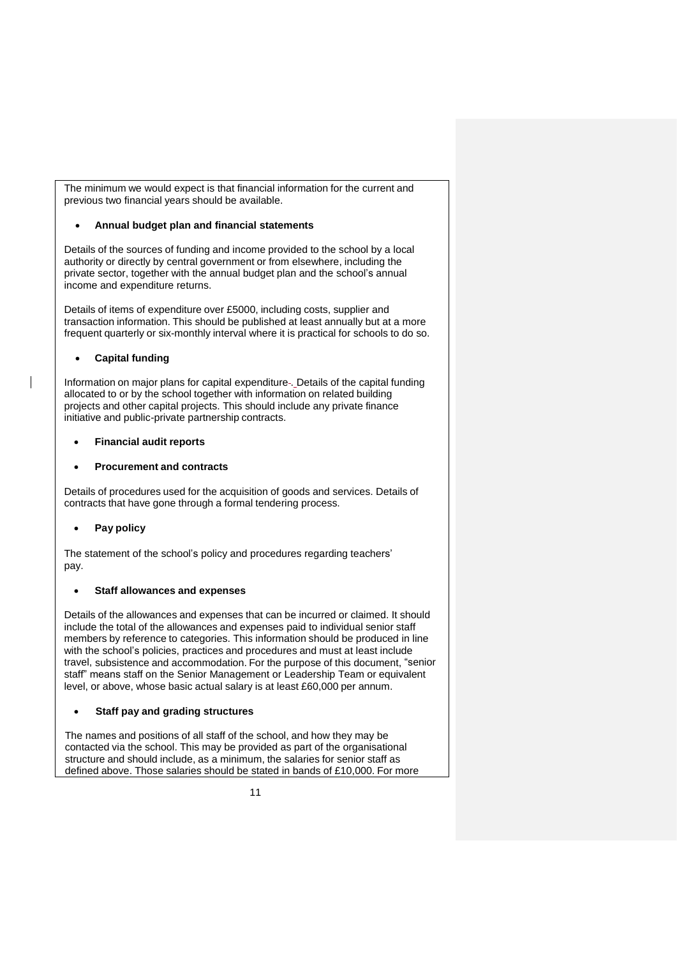The minimum we would expect is that financial information for the current and previous two financial years should be available.

# **Annual budget plan and financial statements**

Details of the sources of funding and income provided to the school by a local authority or directly by central government or from elsewhere, including the private sector, together with the annual budget plan and the school's annual income and expenditure returns.

Details of items of expenditure over £5000, including costs, supplier and transaction information. This should be published at least annually but at a more frequent quarterly or six-monthly interval where it is practical for schools to do so.

# **Capital funding**

Information on major plans for capital expenditure-. Details of the capital funding allocated to or by the school together with information on related building projects and other capital projects. This should include any private finance initiative and public-private partnership contracts.

# **Financial audit reports**

# **Procurement and contracts**

Details of procedures used for the acquisition of goods and services. Details of contracts that have gone through a formal tendering process.

# **Pay policy**

The statement of the school's policy and procedures regarding teachers' pay.

# **Staff allowances and expenses**

Details of the allowances and expenses that can be incurred or claimed. It should include the total of the allowances and expenses paid to individual senior staff members by reference to categories. This information should be produced in line with the school's policies, practices and procedures and must at least include travel, subsistence and accommodation. For the purpose of this document, "senior staff" means staff on the Senior Management or Leadership Team or equivalent level, or above, whose basic actual salary is at least £60,000 per annum.

# **Staff pay and grading structures**

The names and positions of all staff of the school, and how they may be contacted via the school. This may be provided as part of the organisational structure and should include, as a minimum, the salaries for senior staff as defined above. Those salaries should be stated in bands of £10,000. For more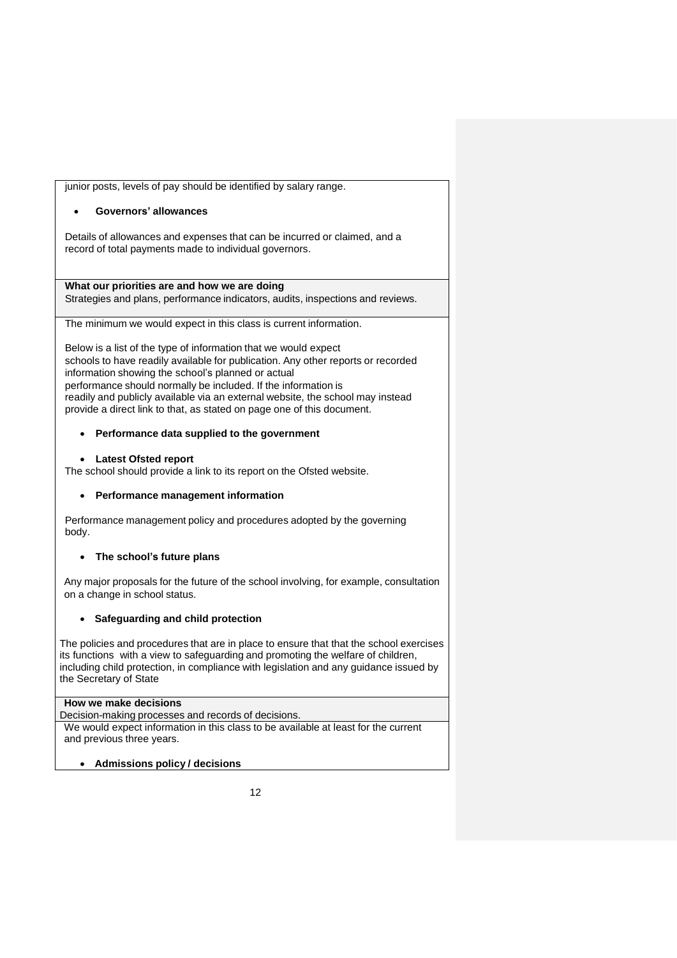junior posts, levels of pay should be identified by salary range. **Governors' allowances** Details of allowances and expenses that can be incurred or claimed, and a record of total payments made to individual governors. **What our priorities are and how we are doing** Strategies and plans, performance indicators, audits, inspections and reviews. The minimum we would expect in this class is current information. Below is a list of the type of information that we would expect schools to have readily available for publication. Any other reports or recorded information showing the school's planned or actual performance should normally be included. If the information is readily and publicly available via an external website, the school may instead provide a direct link to that, as stated on page one of this document. **Performance data supplied to the government Latest Ofsted report** The school should provide a link to its report on the Ofsted website. **Performance management information** Performance management policy and procedures adopted by the governing body. **The school's future plans** Any major proposals for the future of the school involving, for example, consultation on a change in school status. **Safeguarding and child protection** The policies and procedures that are in place to ensure that that the school exercises its functions with a view to safeguarding and promoting the welfare of children, including child protection, in compliance with legislation and any guidance issued by the Secretary of State **How we make decisions** Decision-making processes and records of decisions. We would expect information in this class to be available at least for the current and previous three years.

**Admissions policy / decisions**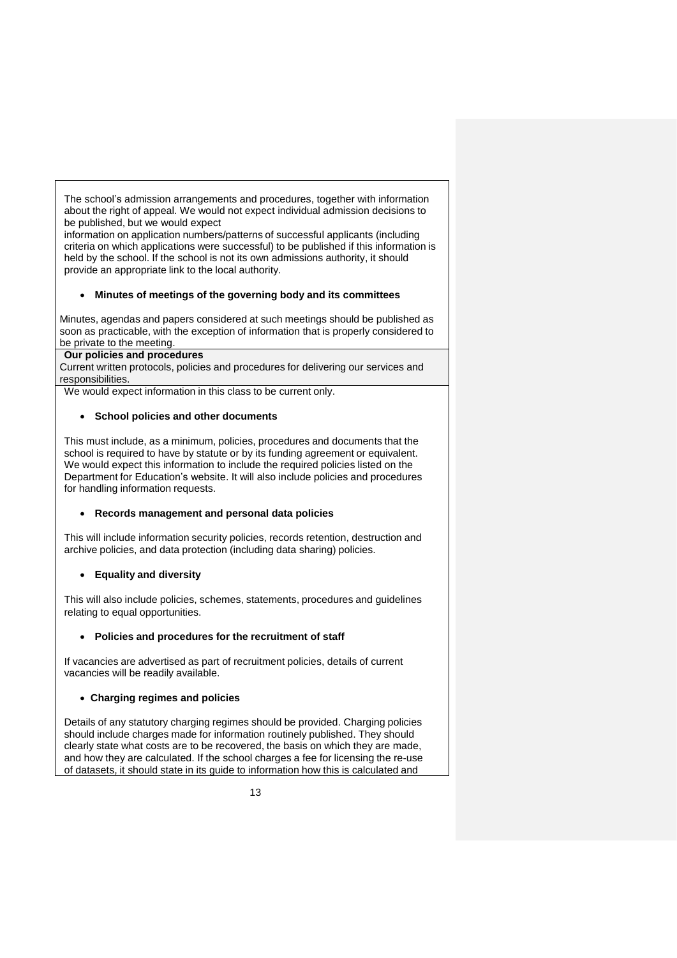The school's admission arrangements and procedures, together with information about the right of appeal. We would not expect individual admission decisions to be published, but we would expect

information on application numbers/patterns of successful applicants (including criteria on which applications were successful) to be published if this information is held by the school. If the school is not its own admissions authority, it should provide an appropriate link to the local authority.

# **Minutes of meetings of the governing body and its committees**

Minutes, agendas and papers considered at such meetings should be published as soon as practicable, with the exception of information that is properly considered to be private to the meeting.

# **Our policies and procedures**

Current written protocols, policies and procedures for delivering our services and responsibilities.

We would expect information in this class to be current only.

# **School policies and other documents**

This must include, as a minimum, policies, procedures and documents that the school is required to have by statute or by its funding agreement or equivalent. We would expect this information to include the required policies listed on the Department for Education's website. It will also include policies and procedures for handling information requests.

## **Records management and personal data policies**

This will include information security policies, records retention, destruction and archive policies, and data protection (including data sharing) policies.

# **Equality and diversity**

This will also include policies, schemes, statements, procedures and guidelines relating to equal opportunities.

# **Policies and procedures for the recruitment of staff**

If vacancies are advertised as part of recruitment policies, details of current vacancies will be readily available.

# **Charging regimes and policies**

Details of any statutory charging regimes should be provided. Charging policies should include charges made for information routinely published. They should clearly state what costs are to be recovered, the basis on which they are made, and how they are calculated. If the school charges a fee for licensing the re-use of datasets, it should state in its guide to information how this is calculated and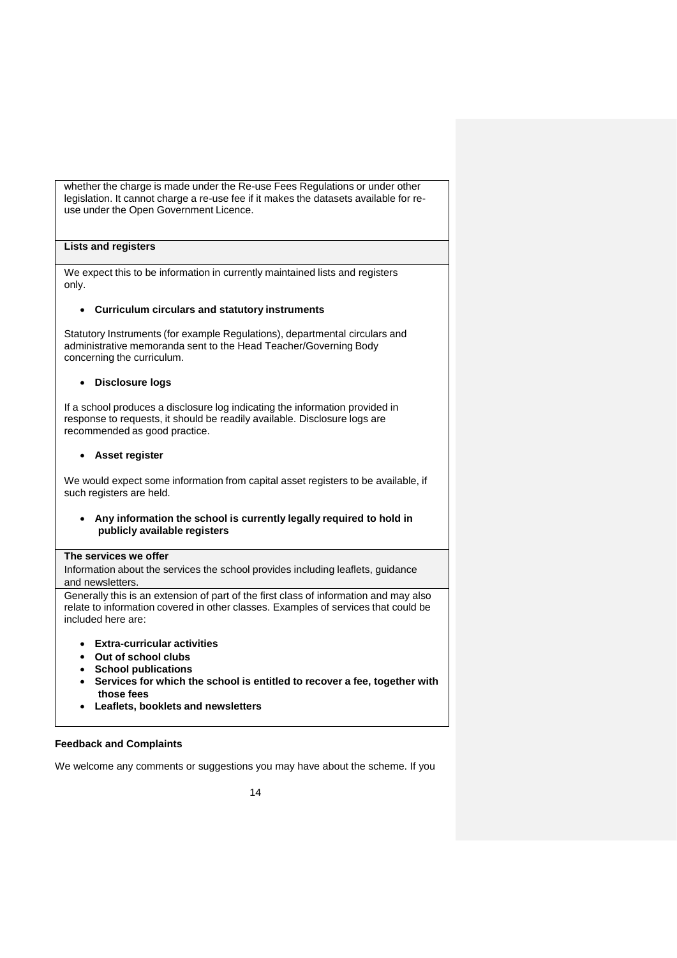whether the charge is made under the Re-use Fees Regulations or under other legislation. It cannot charge a re-use fee if it makes the datasets available for reuse under the Open Government Licence.

# **Lists and registers**

We expect this to be information in currently maintained lists and registers only.

#### **Curriculum circulars and statutory instruments**

Statutory Instruments (for example Regulations), departmental circulars and administrative memoranda sent to the Head Teacher/Governing Body concerning the curriculum.

## **Disclosure logs**

If a school produces a disclosure log indicating the information provided in response to requests, it should be readily available. Disclosure logs are recommended as good practice.

#### **Asset register**

We would expect some information from capital asset registers to be available, if such registers are held.

## **Any information the school is currently legally required to hold in publicly available registers**

# **The services we offer**

Information about the services the school provides including leaflets, guidance and newsletters.

Generally this is an extension of part of the first class of information and may also relate to information covered in other classes. Examples of services that could be included here are:

- **Extra-curricular activities**
- **Out of school clubs**
- **School publications**
- **Services for which the school is entitled to recover a fee, together with those fees**
- **Leaflets, booklets and newsletters**

## **Feedback and Complaints**

We welcome any comments or suggestions you may have about the scheme. If you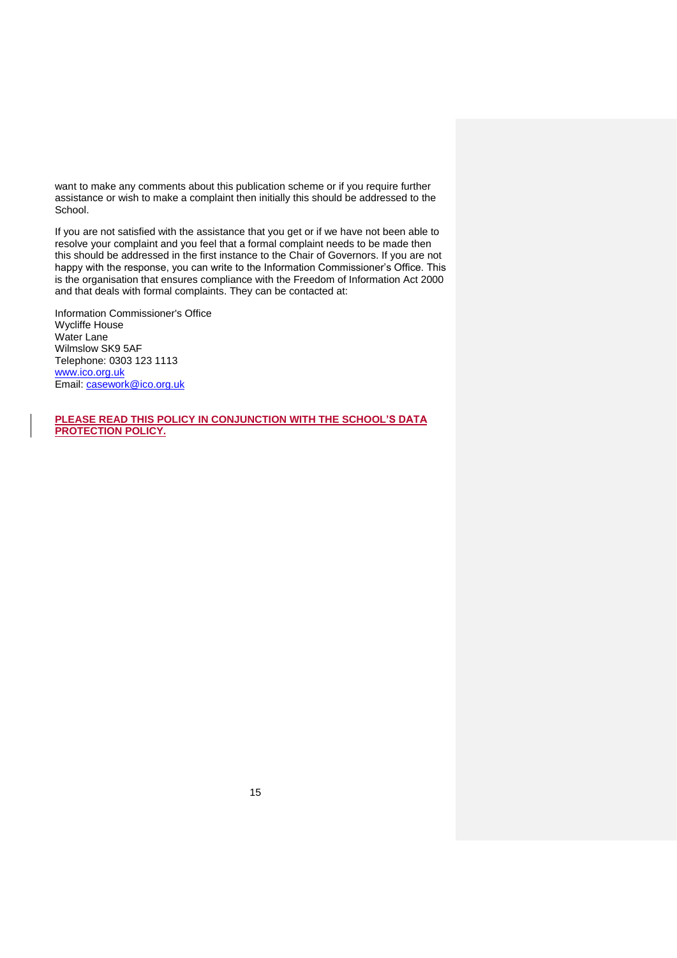want to make any comments about this publication scheme or if you require further assistance or wish to make a complaint then initially this should be addressed to the School.

If you are not satisfied with the assistance that you get or if we have not been able to resolve your complaint and you feel that a formal complaint needs to be made then this should be addressed in the first instance to the Chair of Governors. If you are not happy with the response, you can write to the Information Commissioner's Office. This is the organisation that ensures compliance with the Freedom of Information Act 2000 and that deals with formal complaints. They can be contacted at:

Information Commissioner's Office Wycliffe House Water Lane Wilmslow SK9 5AF Telephone: 0303 123 1113 www.ico.org.uk Email: casework@ico.org.uk

**PLEASE READ THIS POLICY IN CONJUNCTION WITH THE SCHOOL'S DATA PROTECTION POLICY.**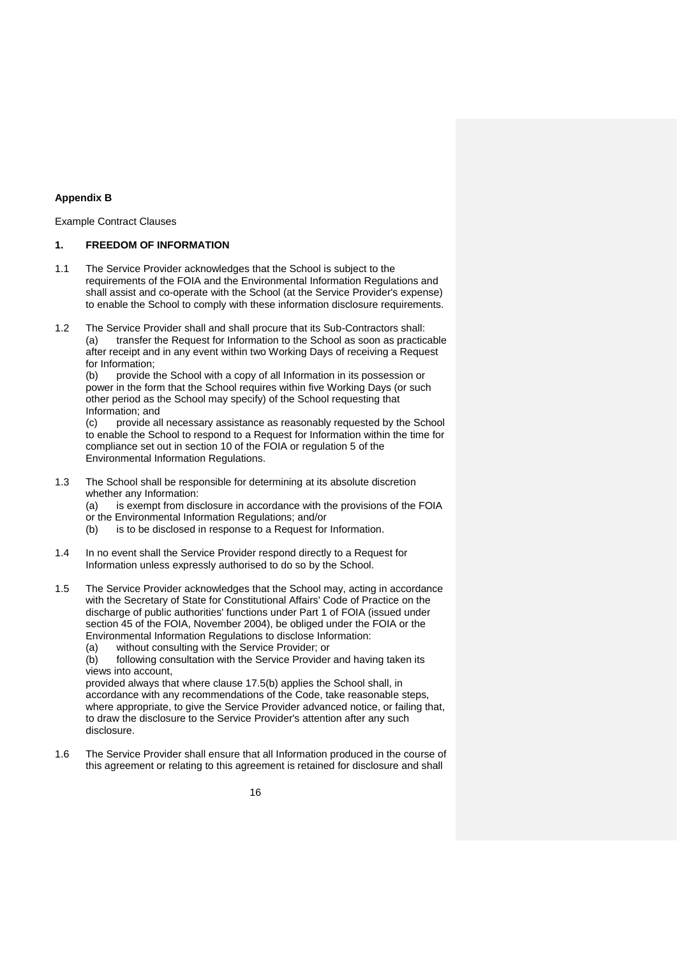# **Appendix B**

Example Contract Clauses

# **1. FREEDOM OF INFORMATION**

- 1.1 The Service Provider acknowledges that the School is subject to the requirements of the FOIA and the Environmental Information Regulations and shall assist and co-operate with the School (at the Service Provider's expense) to enable the School to comply with these information disclosure requirements.
- 1.2 The Service Provider shall and shall procure that its Sub-Contractors shall: (a) transfer the Request for Information to the School as soon as practicable after receipt and in any event within two Working Days of receiving a Request for Information;

(b) provide the School with a copy of all Information in its possession or power in the form that the School requires within five Working Days (or such other period as the School may specify) of the School requesting that Information; and

(c) provide all necessary assistance as reasonably requested by the School to enable the School to respond to a Request for Information within the time for compliance set out in section 10 of the FOIA or regulation 5 of the Environmental Information Regulations.

1.3 The School shall be responsible for determining at its absolute discretion whether any Information:

(a) is exempt from disclosure in accordance with the provisions of the FOIA

- or the Environmental Information Regulations; and/or
- (b) is to be disclosed in response to a Request for Information.
- 1.4 In no event shall the Service Provider respond directly to a Request for Information unless expressly authorised to do so by the School.
- 1.5 The Service Provider acknowledges that the School may, acting in accordance with the Secretary of State for Constitutional Affairs' Code of Practice on the discharge of public authorities' functions under Part 1 of FOIA (issued under section 45 of the FOIA, November 2004), be obliged under the FOIA or the Environmental Information Regulations to disclose Information:
	- (a) without consulting with the Service Provider; or

following consultation with the Service Provider and having taken its views into account,

provided always that where clause 17.5(b) applies the School shall, in accordance with any recommendations of the Code, take reasonable steps, where appropriate, to give the Service Provider advanced notice, or failing that, to draw the disclosure to the Service Provider's attention after any such disclosure.

1.6 The Service Provider shall ensure that all Information produced in the course of this agreement or relating to this agreement is retained for disclosure and shall